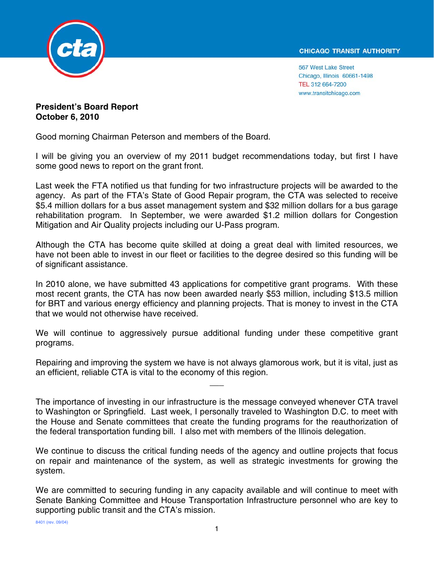

567 West Lake Street Chicago, Illinois 60661-1498 TEL 312 664-7200 www.transitchicago.com

**President's Board Report October 6, 2010** 

Good morning Chairman Peterson and members of the Board.

I will be giving you an overview of my 2011 budget recommendations today, but first I have some good news to report on the grant front.

Last week the FTA notified us that funding for two infrastructure projects will be awarded to the agency. As part of the FTA's State of Good Repair program, the CTA was selected to receive \$5.4 million dollars for a bus asset management system and \$32 million dollars for a bus garage rehabilitation program. In September, we were awarded \$1.2 million dollars for Congestion Mitigation and Air Quality projects including our U-Pass program.

Although the CTA has become quite skilled at doing a great deal with limited resources, we have not been able to invest in our fleet or facilities to the degree desired so this funding will be of significant assistance.

In 2010 alone, we have submitted 43 applications for competitive grant programs. With these most recent grants, the CTA has now been awarded nearly \$53 million, including \$13.5 million for BRT and various energy efficiency and planning projects. That is money to invest in the CTA that we would not otherwise have received.

We will continue to aggressively pursue additional funding under these competitive grant programs.

Repairing and improving the system we have is not always glamorous work, but it is vital, just as an efficient, reliable CTA is vital to the economy of this region.

 $\overline{\phantom{a}}$ 

The importance of investing in our infrastructure is the message conveyed whenever CTA travel to Washington or Springfield. Last week, I personally traveled to Washington D.C. to meet with the House and Senate committees that create the funding programs for the reauthorization of the federal transportation funding bill. I also met with members of the Illinois delegation.

We continue to discuss the critical funding needs of the agency and outline projects that focus on repair and maintenance of the system, as well as strategic investments for growing the system.

We are committed to securing funding in any capacity available and will continue to meet with Senate Banking Committee and House Transportation Infrastructure personnel who are key to supporting public transit and the CTA's mission.

8401 (rev. 09/04)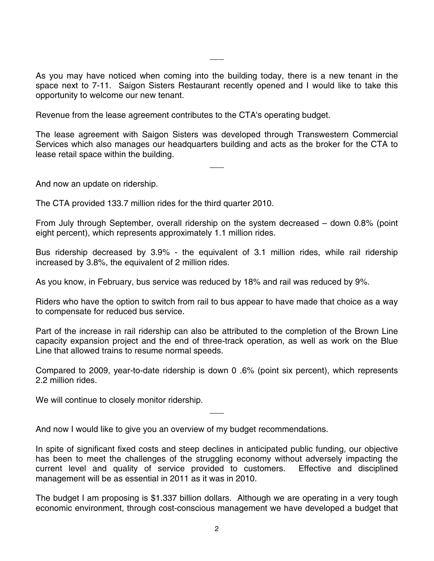As you may have noticed when coming into the building today, there is a new tenant in the space next to 7-11. Saigon Sisters Restaurant recently opened and I would like to take this opportunity to welcome our new tenant.

 $\overline{\phantom{a}}$ 

Revenue from the lease agreement contributes to the CTA's operating budget.

The lease agreement with Saigon Sisters was developed through Transwestern Commercial Services which also manages our headquarters building and acts as the broker for the CTA to lease retail space within the building.

 $\overline{\phantom{a}}$ 

And now an update on ridership.

The CTA provided 133.7 million rides for the third quarter 2010.

From July through September, overall ridership on the system decreased – down 0.8% (point eight percent), which represents approximately 1.1 million rides.

Bus ridership decreased by 3.9% - the equivalent of 3.1 million rides, while rail ridership increased by 3.8%, the equivalent of 2 million rides.

As you know, in February, bus service was reduced by 18% and rail was reduced by 9%.

Riders who have the option to switch from rail to bus appear to have made that choice as a way to compensate for reduced bus service.

Part of the increase in rail ridership can also be attributed to the completion of the Brown Line capacity expansion project and the end of three-track operation, as well as work on the Blue Line that allowed trains to resume normal speeds.

Compared to 2009, year-to-date ridership is down 0 .6% (point six percent), which represents 2.2 million rides.

 $\overline{\phantom{a}}$ 

We will continue to closely monitor ridership.

And now I would like to give you an overview of my budget recommendations.

In spite of significant fixed costs and steep declines in anticipated public funding, our objective has been to meet the challenges of the struggling economy without adversely impacting the current level and quality of service provided to customers. Effective and disciplined management will be as essential in 2011 as it was in 2010.

The budget I am proposing is \$1.337 billion dollars. Although we are operating in a very tough economic environment, through cost-conscious management we have developed a budget that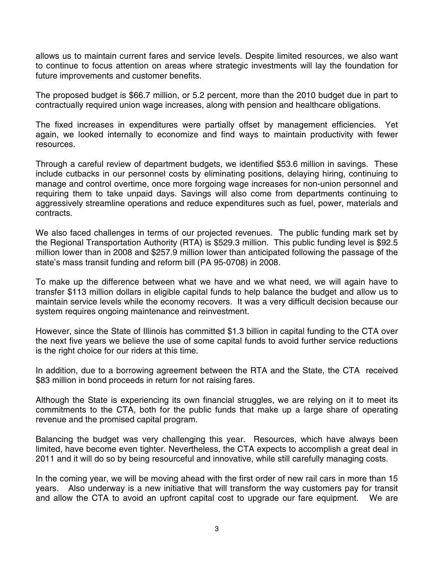allows us to maintain current fares and service levels. Despite limited resources, we also want to continue to focus attention on areas where strategic investments will lay the foundation for future improvements and customer benefits.

The proposed budget is \$66.7 million, or 5.2 percent, more than the 2010 budget due in part to contractually required union wage increases, along with pension and healthcare obligations.

The fixed increases in expenditures were partially offset by management efficiencies. Yet again, we looked internally to economize and find ways to maintain productivity with fewer resources.

Through a careful review of department budgets, we identified \$53.6 million in savings. These include cutbacks in our personnel costs by eliminating positions, delaying hiring, continuing to manage and control overtime, once more forgoing wage increases for non-union personnel and requiring them to take unpaid days. Savings will also come from departments continuing to aggressively streamline operations and reduce expenditures such as fuel, power, materials and contracts.

We also faced challenges in terms of our projected revenues. The public funding mark set by the Regional Transportation Authority (RTA) is \$529.3 million. This public funding level is \$92.5 million lower than in 2008 and \$257.9 million lower than anticipated following the passage of the state's mass transit funding and reform bill (PA 95-0708) in 2008.

To make up the difference between what we have and we what need, we will again have to transfer \$113 million dollars in eligible capital funds to help balance the budget and allow us to maintain service levels while the economy recovers. It was a very difficult decision because our system requires ongoing maintenance and reinvestment.

However, since the State of Illinois has committed \$1.3 billion in capital funding to the CTA over the next five years we believe the use of some capital funds to avoid further service reductions is the right choice for our riders at this time.

In addition, due to a borrowing agreement between the RTA and the State, the CTA received \$83 million in bond proceeds in return for not raising fares.

Although the State is experiencing its own financial struggles, we are relying on it to meet its commitments to the CTA, both for the public funds that make up a large share of operating revenue and the promised capital program.

Balancing the budget was very challenging this year. Resources, which have always been limited, have become even tighter. Nevertheless, the CTA expects to accomplish a great deal in 2011 and it will do so by being resourceful and innovative, while still carefully managing costs.

In the coming year, we will be moving ahead with the first order of new rail cars in more than 15 years. Also underway is a new initiative that will transform the way customers pay for transit and allow the CTA to avoid an upfront capital cost to upgrade our fare equipment. We are